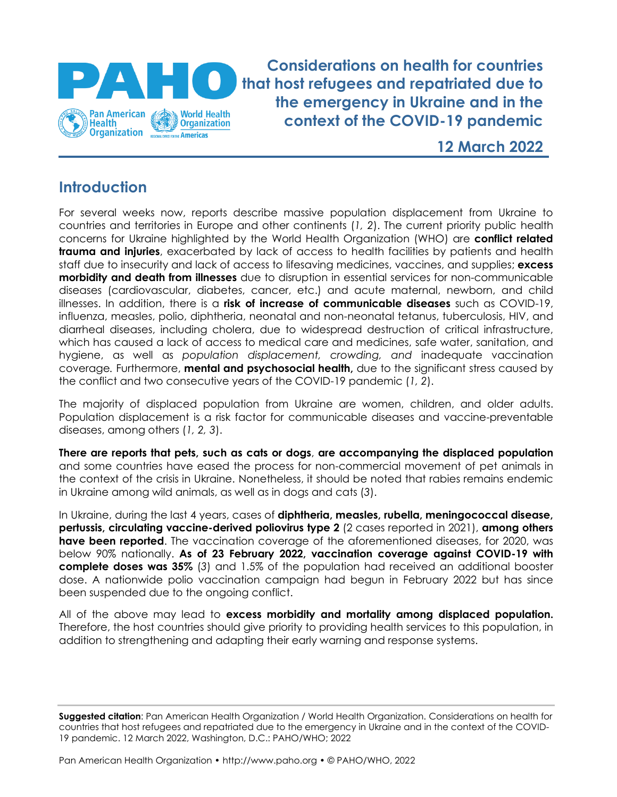

**Considerations on health for countries that host refugees and repatriated due to the emergency in Ukraine and in the context of the COVID-19 pandemic**

**12 March 2022**

# **Introduction**

For several weeks now, reports describe massive population displacement from Ukraine to countries and territories in Europe and other continents (*1, 2*). The current priority public health concerns for Ukraine highlighted by the World Health Organization (WHO) are **conflict related trauma and injuries**, exacerbated by lack of access to health facilities by patients and health staff due to insecurity and lack of access to lifesaving medicines, vaccines, and supplies; **excess morbidity and death from illnesses** due to disruption in essential services for non-communicable diseases (cardiovascular, diabetes, cancer, etc.) and acute maternal, newborn, and child illnesses. In addition, there is a **risk of increase of communicable diseases** such as COVID-19, influenza, measles, polio, diphtheria, neonatal and non-neonatal tetanus, tuberculosis, HIV, and diarrheal diseases, including cholera, due to widespread destruction of critical infrastructure, which has caused a lack of access to medical care and medicines, safe water, sanitation, and hygiene, as well as *population displacement, crowding, and* inadequate vaccination coverage*.* Furthermore, **mental and psychosocial health,** due to the significant stress caused by the conflict and two consecutive years of the COVID-19 pandemic (*1, 2*).

The majority of displaced population from Ukraine are women, children, and older adults. Population displacement is a risk factor for communicable diseases and vaccine-preventable diseases, among others (*1, 2, 3*).

**There are reports that pets, such as cats or dogs**, **are accompanying the displaced population** and some countries have eased the process for non-commercial movement of pet animals in the context of the crisis in Ukraine. Nonetheless, it should be noted that rabies remains endemic in Ukraine among wild animals, as well as in dogs and cats (*3*).

In Ukraine, during the last 4 years, cases of **diphtheria, measles, rubella, meningococcal disease, pertussis, circulating vaccine-derived poliovirus type 2** (2 cases reported in 2021), **among others have been reported**. The vaccination coverage of the aforementioned diseases, for 2020, was below 90% nationally. **As of 23 February 2022, vaccination coverage against COVID-19 with complete doses was 35%** (*3*) and 1.5% of the population had received an additional booster dose. A nationwide polio vaccination campaign had begun in February 2022 but has since been suspended due to the ongoing conflict.

All of the above may lead to **excess morbidity and mortality among displaced population.**  Therefore, the host countries should give priority to providing health services to this population, in addition to strengthening and adapting their early warning and response systems.

**Suggested citation**: Pan American Health Organization / World Health Organization. Considerations on health for countries that host refugees and repatriated due to the emergency in Ukraine and in the context of the COVID-19 pandemic. 12 March 2022, Washington, D.C.: PAHO/WHO; 2022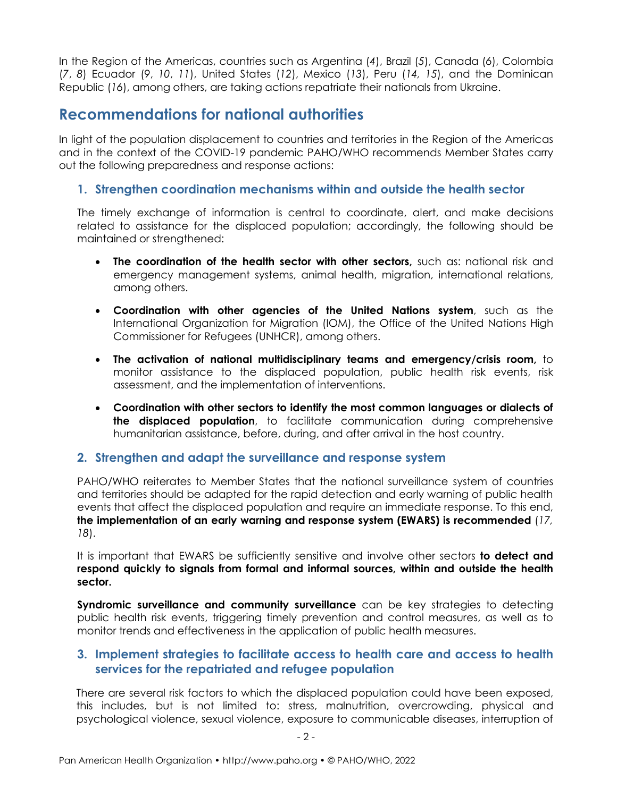In the Region of the Americas, countries such as Argentina (*4*), Brazil (*5*), Canada (*6*), Colombia (*7*, *8*) Ecuador (*9*, *10*, *11*), United States (*12*), Mexico (*13*), Peru (*14, 15*), and the Dominican Republic (*16*), among others, are taking actions repatriate their nationals from Ukraine.

## **Recommendations for national authorities**

In light of the population displacement to countries and territories in the Region of the Americas and in the context of the COVID-19 pandemic PAHO/WHO recommends Member States carry out the following preparedness and response actions:

### **1. Strengthen coordination mechanisms within and outside the health sector**

The timely exchange of information is central to coordinate, alert, and make decisions related to assistance for the displaced population; accordingly, the following should be maintained or strengthened:

- **The coordination of the health sector with other sectors**, such as: national risk and emergency management systems, animal health, migration, international relations, among others.
- **Coordination with other agencies of the United Nations system**, such as the International Organization for Migration (IOM), the Office of the United Nations High Commissioner for Refugees (UNHCR), among others.
- **The activation of national multidisciplinary teams and emergency/crisis room,** to monitor assistance to the displaced population, public health risk events, risk assessment, and the implementation of interventions.
- **Coordination with other sectors to identify the most common languages or dialects of the displaced population**, to facilitate communication during comprehensive humanitarian assistance, before, during, and after arrival in the host country.

#### **2. Strengthen and adapt the surveillance and response system**

PAHO/WHO reiterates to Member States that the national surveillance system of countries and territories should be adapted for the rapid detection and early warning of public health events that affect the displaced population and require an immediate response. To this end, **the implementation of an early warning and response system (EWARS) is recommended** (*17, 18*).

It is important that EWARS be sufficiently sensitive and involve other sectors **to detect and respond quickly to signals from formal and informal sources, within and outside the health sector.**

**Syndromic surveillance and community surveillance** can be key strategies to detecting public health risk events, triggering timely prevention and control measures, as well as to monitor trends and effectiveness in the application of public health measures.

#### **3. Implement strategies to facilitate access to health care and access to health services for the repatriated and refugee population**

There are several risk factors to which the displaced population could have been exposed, this includes, but is not limited to: stress, malnutrition, overcrowding, physical and psychological violence, sexual violence, exposure to communicable diseases, interruption of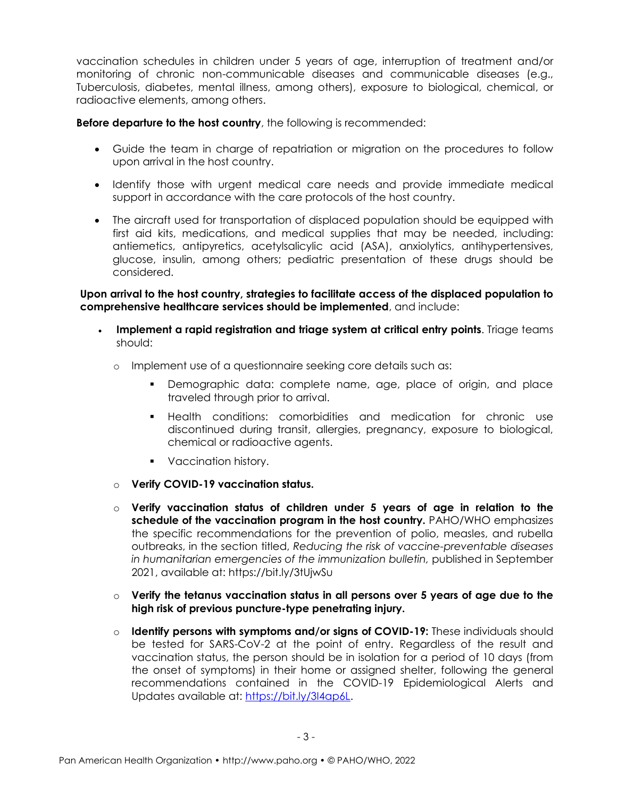vaccination schedules in children under 5 years of age, interruption of treatment and/or monitoring of chronic non-communicable diseases and communicable diseases (e.g., Tuberculosis, diabetes, mental illness, among others), exposure to biological, chemical, or radioactive elements, among others.

**Before departure to the host country**, the following is recommended:

- Guide the team in charge of repatriation or migration on the procedures to follow upon arrival in the host country.
- Identify those with urgent medical care needs and provide immediate medical support in accordance with the care protocols of the host country.
- The aircraft used for transportation of displaced population should be equipped with first aid kits, medications, and medical supplies that may be needed, including: antiemetics, antipyretics, acetylsalicylic acid (ASA), anxiolytics, antihypertensives, glucose, insulin, among others; pediatric presentation of these drugs should be considered.

**Upon arrival to the host country, strategies to facilitate access of the displaced population to comprehensive healthcare services should be implemented**, and include:

- **Implement a rapid registration and triage system at critical entry points**. Triage teams should:
	- o Implement use of a questionnaire seeking core details such as:
		- Demographic data: complete name, age, place of origin, and place traveled through prior to arrival.
		- Health conditions: comorbidities and medication for chronic use discontinued during transit, allergies, pregnancy, exposure to biological, chemical or radioactive agents.
		- Vaccination history.
	- o **Verify COVID-19 vaccination status.**
	- o **Verify vaccination status of children under 5 years of age in relation to the schedule of the vaccination program in the host country.** PAHO/WHO emphasizes the specific recommendations for the prevention of polio, measles, and rubella outbreaks, in the section titled, *Reducing the risk of vaccine-preventable diseases in humanitarian emergencies of the immunization bulletin,* published in September 2021, available at: https://bit.ly/3tUjwSu
	- o **Verify the tetanus vaccination status in all persons over 5 years of age due to the high risk of previous puncture-type penetrating injury.**
	- o **Identify persons with symptoms and/or signs of COVID-19:** These individuals should be tested for SARS-CoV-2 at the point of entry. Regardless of the result and vaccination status, the person should be in isolation for a period of 10 days (from the onset of symptoms) in their home or assigned shelter, following the general recommendations contained in the COVID-19 Epidemiological Alerts and Updates available at: [https://bit.ly/3I4ap6L.](https://bit.ly/3I4ap6L)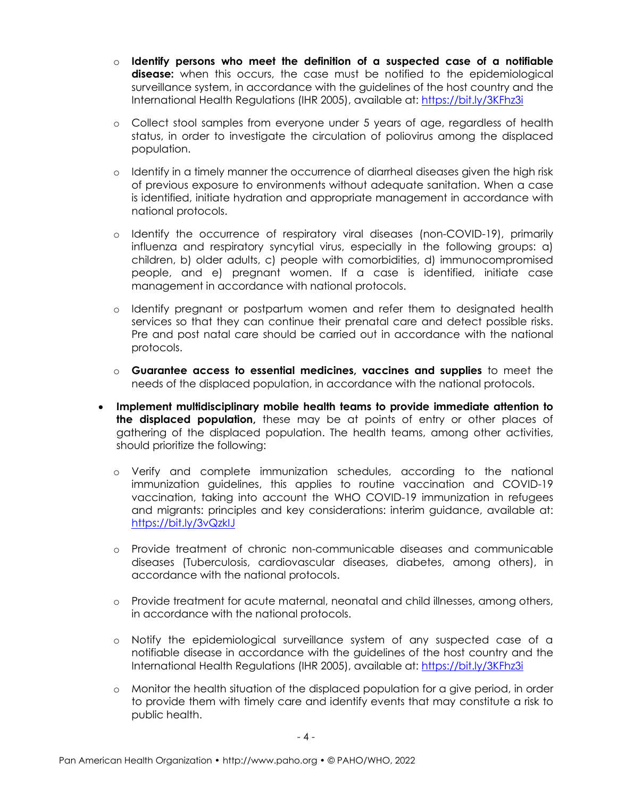- o **Identify persons who meet the definition of a suspected case of a notifiable**  disease: when this occurs, the case must be notified to the epidemiological surveillance system, in accordance with the guidelines of the host country and the International Health Regulations (IHR 2005), available at:<https://bit.ly/3KFhz3i>
- o Collect stool samples from everyone under 5 years of age, regardless of health status, in order to investigate the circulation of poliovirus among the displaced population.
- o Identify in a timely manner the occurrence of diarrheal diseases given the high risk of previous exposure to environments without adequate sanitation. When a case is identified, initiate hydration and appropriate management in accordance with national protocols.
- o Identify the occurrence of respiratory viral diseases (non-COVID-19), primarily influenza and respiratory syncytial virus, especially in the following groups: a) children, b) older adults, c) people with comorbidities, d) immunocompromised people, and e) pregnant women. If a case is identified, initiate case management in accordance with national protocols.
- o Identify pregnant or postpartum women and refer them to designated health services so that they can continue their prenatal care and detect possible risks. Pre and post natal care should be carried out in accordance with the national protocols.
- o **Guarantee access to essential medicines, vaccines and supplies** to meet the needs of the displaced population, in accordance with the national protocols.
- **Implement multidisciplinary mobile health teams to provide immediate attention to the displaced population,** these may be at points of entry or other places of gathering of the displaced population. The health teams, among other activities, should prioritize the following:
	- o Verify and complete immunization schedules, according to the national immunization guidelines, this applies to routine vaccination and COVID-19 vaccination, taking into account the WHO COVID-19 immunization in refugees and migrants: principles and key considerations: interim guidance, available at: <https://bit.ly/3vQzkIJ>
	- o Provide treatment of chronic non-communicable diseases and communicable diseases (Tuberculosis, cardiovascular diseases, diabetes, among others), in accordance with the national protocols.
	- o Provide treatment for acute maternal, neonatal and child illnesses, among others, in accordance with the national protocols.
	- o Notify the epidemiological surveillance system of any suspected case of a notifiable disease in accordance with the guidelines of the host country and the International Health Regulations (IHR 2005), available at: <https://bit.ly/3KFhz3i>
	- o Monitor the health situation of the displaced population for a give period, in order to provide them with timely care and identify events that may constitute a risk to public health.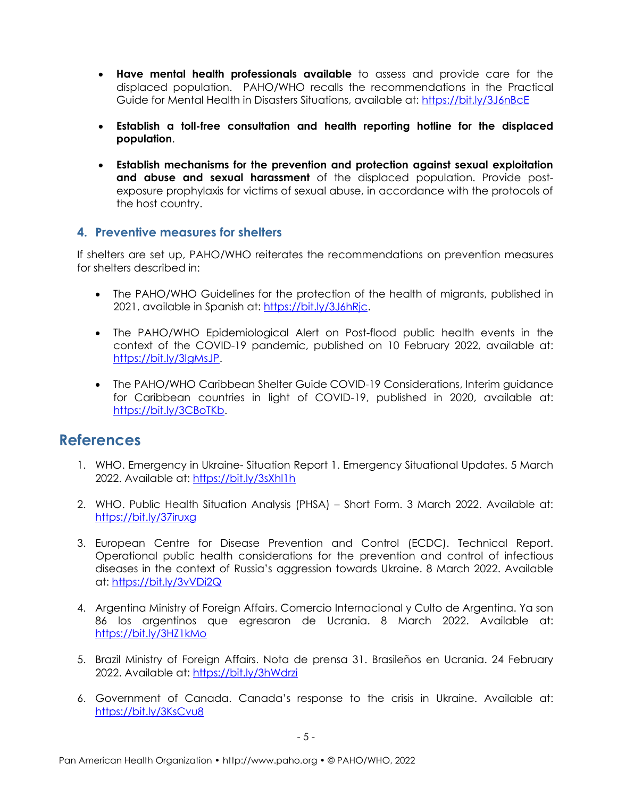- **Have mental health professionals available** to assess and provide care for the displaced population. PAHO/WHO recalls the recommendations in the Practical Guide for Mental Health in Disasters Situations, available at:<https://bit.ly/3J6nBcE>
- **Establish a toll-free consultation and health reporting hotline for the displaced population**.
- **Establish mechanisms for the prevention and protection against sexual exploitation and abuse and sexual harassment** of the displaced population. Provide postexposure prophylaxis for victims of sexual abuse, in accordance with the protocols of the host country.

### **4. Preventive measures for shelters**

If shelters are set up, PAHO/WHO reiterates the recommendations on prevention measures for shelters described in:

- The PAHO/WHO Guidelines for the protection of the health of migrants, published in 2021, available in Spanish at: [https://bit.ly/3J6hRjc.](https://bit.ly/3J6hRjc)
- The PAHO/WHO Epidemiological Alert on Post-flood public health events in the context of the COVID-19 pandemic, published on 10 February 2022, available at: [https://bit.ly/3IgMsJP.](https://bit.ly/3IgMsJP)
- The PAHO/WHO Caribbean Shelter Guide COVID-19 Considerations, Interim quidance for Caribbean countries in light of COVID-19, published in 2020, available at: [https://bit.ly/3CBoTKb.](https://bit.ly/3CBoTKb)

# **References**

- 1. WHO. Emergency in Ukraine- Situation Report 1. Emergency Situational Updates. 5 March 2022. Available at:<https://bit.ly/3sXhl1h>
- 2. WHO. Public Health Situation Analysis (PHSA) Short Form. 3 March 2022. Available at: <https://bit.ly/37iruxg>
- 3. European Centre for Disease Prevention and Control (ECDC). Technical Report. Operational public health considerations for the prevention and control of infectious diseases in the context of Russia's aggression towards Ukraine. 8 March 2022. Available at:<https://bit.ly/3vVDi2Q>
- 4. Argentina Ministry of Foreign Affairs. Comercio Internacional y Culto de Argentina. Ya son 86 los argentinos que egresaron de Ucrania. 8 March 2022. Available at: <https://bit.ly/3HZ1kMo>
- 5. Brazil Ministry of Foreign Affairs. Nota de prensa 31. Brasileños en Ucrania. 24 February 2022. Available at:<https://bit.ly/3hWdrzi>
- 6. Government of Canada. Canada's response to the crisis in Ukraine. Available at: <https://bit.ly/3KsCvu8>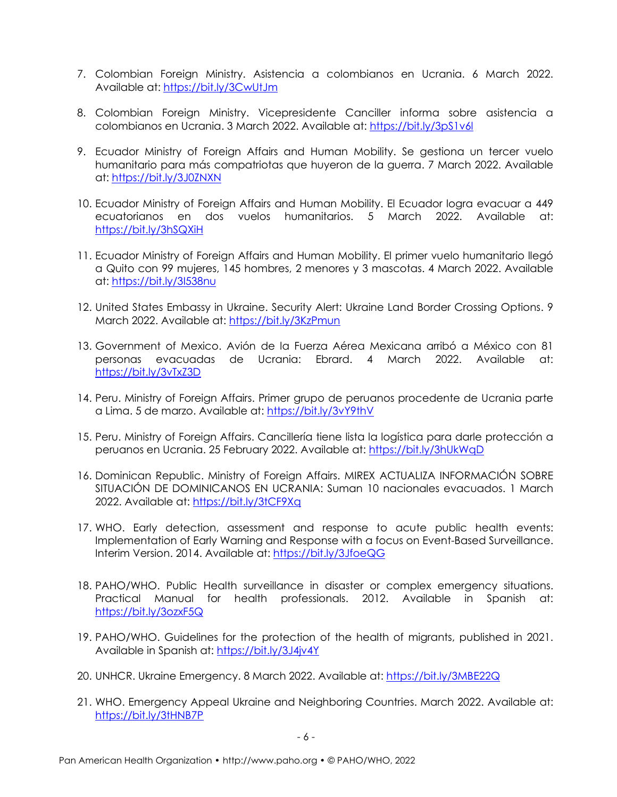- 7. Colombian Foreign Ministry. Asistencia a colombianos en Ucrania. 6 March 2022. Available at:<https://bit.ly/3CwUtJm>
- 8. Colombian Foreign Ministry. Vicepresidente Canciller informa sobre asistencia a colombianos en Ucrania. 3 March 2022. Available at:<https://bit.ly/3pS1v6l>
- 9. Ecuador Ministry of Foreign Affairs and Human Mobility. Se gestiona un tercer vuelo humanitario para más compatriotas que huyeron de la guerra. 7 March 2022. Available at:<https://bit.ly/3J0ZNXN>
- 10. Ecuador Ministry of Foreign Affairs and Human Mobility. El Ecuador logra evacuar a 449 ecuatorianos en dos vuelos humanitarios. 5 March 2022. Available at: <https://bit.ly/3hSQXiH>
- 11. Ecuador Ministry of Foreign Affairs and Human Mobility. El primer vuelo humanitario llegó a Quito con 99 mujeres, 145 hombres, 2 menores y 3 mascotas. 4 March 2022. Available at:<https://bit.ly/3I538nu>
- 12. United States Embassy in Ukraine. Security Alert: Ukraine Land Border Crossing Options. 9 March 2022. Available at:<https://bit.ly/3KzPmun>
- 13. Government of Mexico. Avión de la Fuerza Aérea Mexicana arribó a México con 81 personas evacuadas de Ucrania: Ebrard. 4 March 2022. Available at: <https://bit.ly/3vTxZ3D>
- 14. Peru. Ministry of Foreign Affairs. Primer grupo de peruanos procedente de Ucrania parte a Lima. 5 de marzo. Available at:<https://bit.ly/3vY9thV>
- 15. Peru. Ministry of Foreign Affairs. Cancillería tiene lista la logística para darle protección a peruanos en Ucrania. 25 February 2022. Available at:<https://bit.ly/3hUkWqD>
- 16. Dominican Republic. Ministry of Foreign Affairs. MIREX ACTUALIZA INFORMACIÓN SOBRE SITUACIÓN DE DOMINICANOS EN UCRANIA: Suman 10 nacionales evacuados. 1 March 2022. Available at:<https://bit.ly/3tCF9Xq>
- 17. WHO. Early detection, assessment and response to acute public health events: Implementation of Early Warning and Response with a focus on Event-Based Surveillance. Interim Version. 2014. Available at:<https://bit.ly/3JfoeQG>
- 18. PAHO/WHO. Public Health surveillance in disaster or complex emergency situations. Practical Manual for health professionals. 2012. Available in Spanish at: <https://bit.ly/3ozxF5Q>
- 19. PAHO/WHO. Guidelines for the protection of the health of migrants, published in 2021. Available in Spanish at:<https://bit.ly/3J4jv4Y>
- 20. UNHCR. Ukraine Emergency. 8 March 2022. Available at:<https://bit.ly/3MBE22Q>
- 21. WHO. Emergency Appeal Ukraine and Neighboring Countries. March 2022. Available at: <https://bit.ly/3tHNB7P>